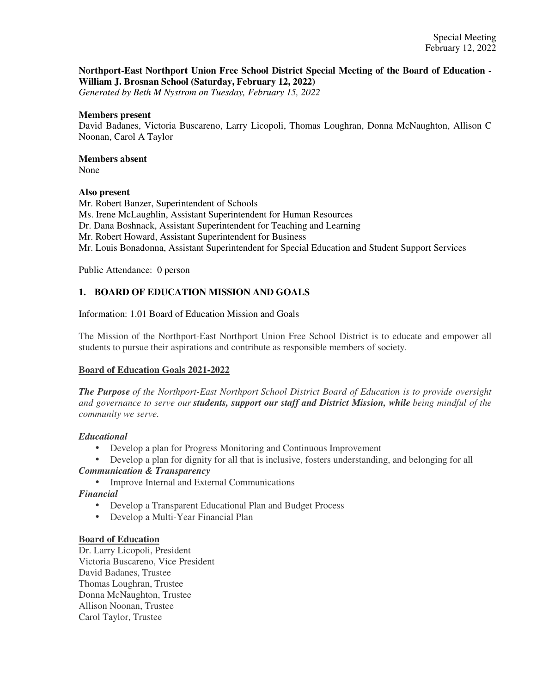# **Northport-East Northport Union Free School District Special Meeting of the Board of Education - William J. Brosnan School (Saturday, February 12, 2022)**

*Generated by Beth M Nystrom on Tuesday, February 15, 2022*

#### **Members present**

David Badanes, Victoria Buscareno, Larry Licopoli, Thomas Loughran, Donna McNaughton, Allison C Noonan, Carol A Taylor

# **Members absent**

None

# **Also present**

Mr. Robert Banzer, Superintendent of Schools Ms. Irene McLaughlin, Assistant Superintendent for Human Resources Dr. Dana Boshnack, Assistant Superintendent for Teaching and Learning Mr. Robert Howard, Assistant Superintendent for Business Mr. Louis Bonadonna, Assistant Superintendent for Special Education and Student Support Services

Public Attendance: 0 person

# **1. BOARD OF EDUCATION MISSION AND GOALS**

Information: 1.01 Board of Education Mission and Goals

The Mission of the Northport-East Northport Union Free School District is to educate and empower all students to pursue their aspirations and contribute as responsible members of society.

# **Board of Education Goals 2021-2022**

*The Purpose of the Northport-East Northport School District Board of Education is to provide oversight and governance to serve our students, support our staff and District Mission, while being mindful of the community we serve.*

# *Educational*

- Develop a plan for Progress Monitoring and Continuous Improvement
- Develop a plan for dignity for all that is inclusive, fosters understanding, and belonging for all *Communication & Transparency*
	- Improve Internal and External Communications

*Financial*

- Develop a Transparent Educational Plan and Budget Process
- Develop a Multi-Year Financial Plan

# **Board of Education**

Dr. Larry Licopoli, President Victoria Buscareno, Vice President David Badanes, Trustee Thomas Loughran, Trustee Donna McNaughton, Trustee Allison Noonan, Trustee Carol Taylor, Trustee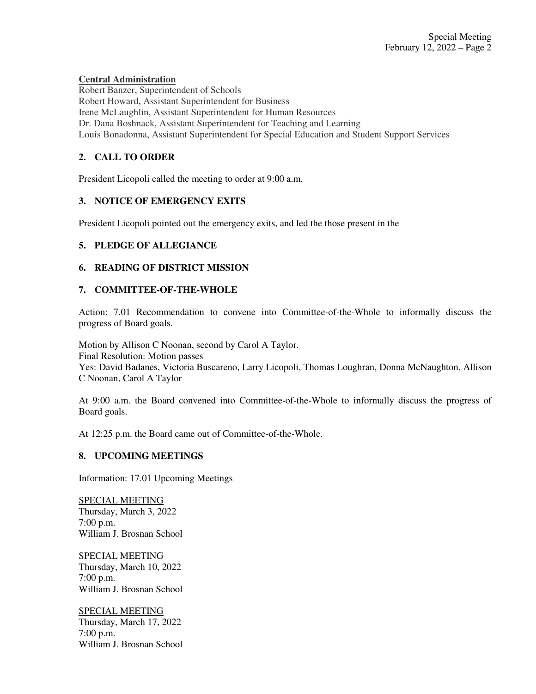# **Central Administration**

Robert Banzer, Superintendent of Schools Robert Howard, Assistant Superintendent for Business Irene McLaughlin, Assistant Superintendent for Human Resources Dr. Dana Boshnack, Assistant Superintendent for Teaching and Learning Louis Bonadonna, Assistant Superintendent for Special Education and Student Support Services

# **2. CALL TO ORDER**

President Licopoli called the meeting to order at 9:00 a.m.

#### **3. NOTICE OF EMERGENCY EXITS**

President Licopoli pointed out the emergency exits, and led the those present in the

#### **5. PLEDGE OF ALLEGIANCE**

#### **6. READING OF DISTRICT MISSION**

#### **7. COMMITTEE-OF-THE-WHOLE**

Action: 7.01 Recommendation to convene into Committee-of-the-Whole to informally discuss the progress of Board goals.

Motion by Allison C Noonan, second by Carol A Taylor. Final Resolution: Motion passes Yes: David Badanes, Victoria Buscareno, Larry Licopoli, Thomas Loughran, Donna McNaughton, Allison C Noonan, Carol A Taylor

At 9:00 a.m. the Board convened into Committee-of-the-Whole to informally discuss the progress of Board goals.

At 12:25 p.m. the Board came out of Committee-of-the-Whole.

#### **8. UPCOMING MEETINGS**

Information: 17.01 Upcoming Meetings

SPECIAL MEETING Thursday, March 3, 2022 7:00 p.m. William J. Brosnan School

SPECIAL MEETING Thursday, March 10, 2022 7:00 p.m. William J. Brosnan School

SPECIAL MEETING Thursday, March 17, 2022 7:00 p.m. William J. Brosnan School